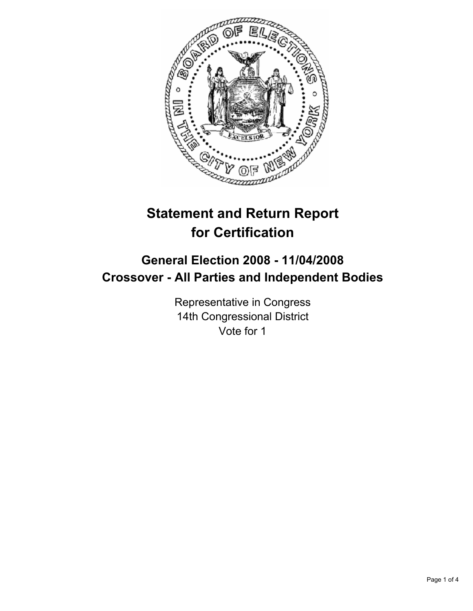

# **Statement and Return Report for Certification**

## **General Election 2008 - 11/04/2008 Crossover - All Parties and Independent Bodies**

Representative in Congress 14th Congressional District Vote for 1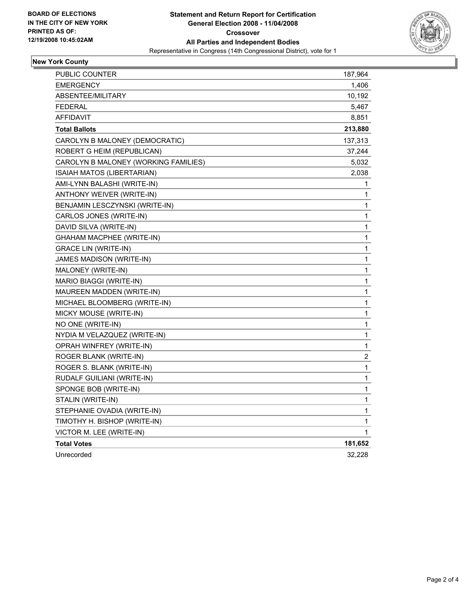

## **New York County**

| PUBLIC COUNTER                       | 187,964        |
|--------------------------------------|----------------|
| <b>EMERGENCY</b>                     | 1,406          |
| ABSENTEE/MILITARY                    | 10,192         |
| <b>FEDERAL</b>                       | 5,467          |
| AFFIDAVIT                            | 8,851          |
| <b>Total Ballots</b>                 | 213,880        |
| CAROLYN B MALONEY (DEMOCRATIC)       | 137,313        |
| ROBERT G HEIM (REPUBLICAN)           | 37,244         |
| CAROLYN B MALONEY (WORKING FAMILIES) | 5,032          |
| ISAIAH MATOS (LIBERTARIAN)           | 2,038          |
| AMI-LYNN BALASHI (WRITE-IN)          | 1              |
| ANTHONY WEIVER (WRITE-IN)            | 1              |
| BENJAMIN LESCZYNSKI (WRITE-IN)       | 1              |
| CARLOS JONES (WRITE-IN)              | 1              |
| DAVID SILVA (WRITE-IN)               | 1              |
| GHAHAM MACPHEE (WRITE-IN)            | 1              |
| <b>GRACE LIN (WRITE-IN)</b>          | 1              |
| JAMES MADISON (WRITE-IN)             | 1              |
| MALONEY (WRITE-IN)                   | $\mathbf{1}$   |
| MARIO BIAGGI (WRITE-IN)              | $\mathbf{1}$   |
| MAUREEN MADDEN (WRITE-IN)            | $\mathbf{1}$   |
| MICHAEL BLOOMBERG (WRITE-IN)         | $\mathbf{1}$   |
| MICKY MOUSE (WRITE-IN)               | 1              |
| NO ONE (WRITE-IN)                    | $\mathbf 1$    |
| NYDIA M VELAZQUEZ (WRITE-IN)         | 1              |
| OPRAH WINFREY (WRITE-IN)             | $\mathbf{1}$   |
| ROGER BLANK (WRITE-IN)               | $\overline{c}$ |
| ROGER S. BLANK (WRITE-IN)            | $\mathbf 1$    |
| RUDALF GUILIANI (WRITE-IN)           | 1              |
| SPONGE BOB (WRITE-IN)                | 1              |
| STALIN (WRITE-IN)                    | 1              |
| STEPHANIE OVADIA (WRITE-IN)          | 1              |
| TIMOTHY H. BISHOP (WRITE-IN)         | 1              |
| VICTOR M. LEE (WRITE-IN)             | 1              |
| <b>Total Votes</b>                   | 181,652        |
| Unrecorded                           | 32,228         |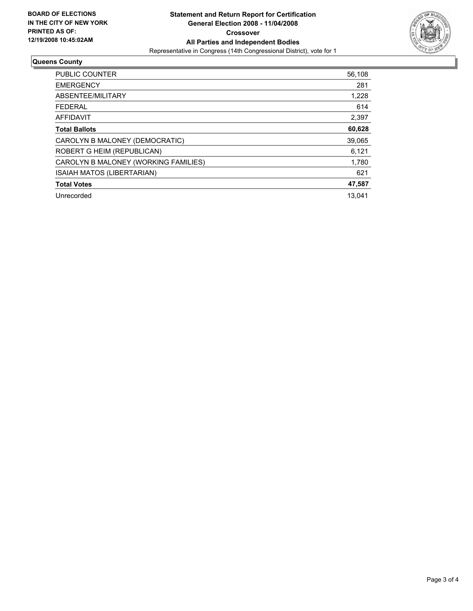

### **Queens County**

| <b>PUBLIC COUNTER</b>                | 56,108 |
|--------------------------------------|--------|
| <b>EMERGENCY</b>                     | 281    |
| ABSENTEE/MILITARY                    | 1,228  |
| <b>FEDERAL</b>                       | 614    |
| <b>AFFIDAVIT</b>                     | 2,397  |
| <b>Total Ballots</b>                 | 60,628 |
| CAROLYN B MALONEY (DEMOCRATIC)       | 39,065 |
| ROBERT G HEIM (REPUBLICAN)           | 6,121  |
| CAROLYN B MALONEY (WORKING FAMILIES) | 1,780  |
| ISAIAH MATOS (LIBERTARIAN)           | 621    |
| <b>Total Votes</b>                   | 47,587 |
| Unrecorded                           | 13.041 |